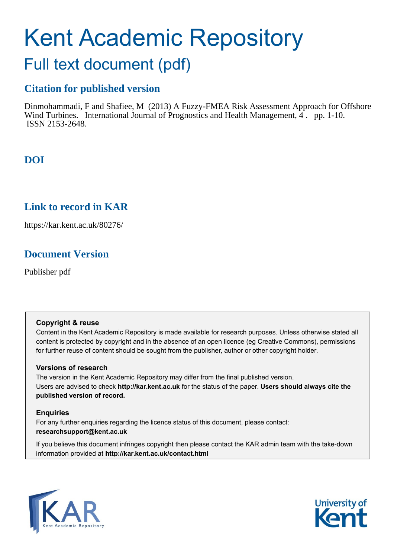# Kent Academic Repository

## Full text document (pdf)

## **Citation for published version**

Dinmohammadi, F and Shafiee, M (2013) A Fuzzy-FMEA Risk Assessment Approach for Offshore Wind Turbines. International Journal of Prognostics and Health Management, 4. pp. 1-10. ISSN 2153-2648.

## **DOI**

## **Link to record in KAR**

https://kar.kent.ac.uk/80276/

## **Document Version**

Publisher pdf

#### **Copyright & reuse**

Content in the Kent Academic Repository is made available for research purposes. Unless otherwise stated all content is protected by copyright and in the absence of an open licence (eg Creative Commons), permissions for further reuse of content should be sought from the publisher, author or other copyright holder.

#### **Versions of research**

The version in the Kent Academic Repository may differ from the final published version. Users are advised to check **http://kar.kent.ac.uk** for the status of the paper. **Users should always cite the published version of record.**

#### **Enquiries**

For any further enquiries regarding the licence status of this document, please contact: **researchsupport@kent.ac.uk**

If you believe this document infringes copyright then please contact the KAR admin team with the take-down information provided at **http://kar.kent.ac.uk/contact.html**



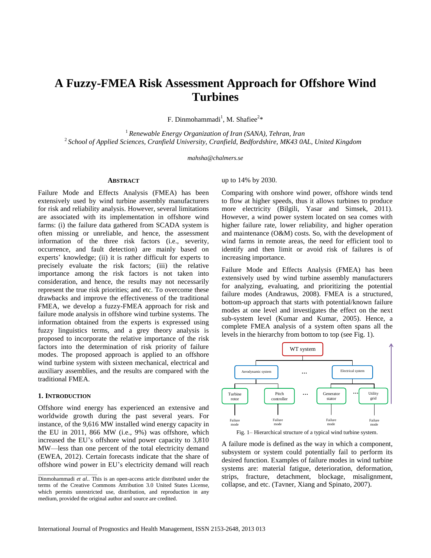### **A Fuzzy-FMEA Risk Assessment Approach for Offshore Wind Turbines**

F. Dinmohammadi<sup>1</sup>, M. Shafiee<sup>2\*</sup>

<sup>1</sup>*Renewable Energy Organization of Iran (SANA), Tehran, Iran* <sup>2</sup>*School of Applied Sciences, Cranfield University, Cranfield, Bedfordshire, MK43 0AL, United Kingdom*

*mahsha@chalmers.se*

#### **ABSTRACT**

Failure Mode and Effects Analysis (FMEA) has been extensively used by wind turbine assembly manufacturers for risk and reliability analysis. However, several limitations are associated with its implementation in offshore wind farms: (i) the failure data gathered from SCADA system is often missing or unreliable, and hence, the assessment information of the three risk factors (i.e., severity, occurrence, and fault detection) are mainly based on experts' knowledge; (ii) it is rather difficult for experts to precisely evaluate the risk factors; (iii) the relative importance among the risk factors is not taken into consideration, and hence, the results may not necessarily represent the true risk priorities; and etc. To overcome these drawbacks and improve the effectiveness of the traditional FMEA, we develop a fuzzy-FMEA approach for risk and failure mode analysis in offshore wind turbine systems. The information obtained from the experts is expressed using fuzzy linguistics terms, and a grey theory analysis is proposed to incorporate the relative importance of the risk factors into the determination of risk priority of failure modes. The proposed approach is applied to an offshore wind turbine system with sixteen mechanical, electrical and auxiliary assemblies, and the results are compared with the traditional FMEA.

#### **1. INTRODUCTION**

\_\_\_\_\_\_\_\_\_\_\_\_\_\_\_\_\_\_\_\_\_

Offshore wind energy has experienced an extensive and worldwide growth during the past several years. For instance, of the 9,616 MW installed wind energy capacity in the EU in 2011, 866 MW (i.e., 9%) was offshore, which increased the EU's offshore wind power capacity to 3,810 MW—less than one percent of the total electricity demand (EWEA, 2012). Certain forecasts indicate that the share of offshore wind power in EU's electricity demand will reach

#### up to 14% by 2030.

Comparing with onshore wind power, offshore winds tend to flow at higher speeds, thus it allows turbines to produce more electricity (Bilgili, Yasar and Simsek, 2011). However, a wind power system located on sea comes with higher failure rate, lower reliability, and higher operation and maintenance (O&M) costs. So, with the development of wind farms in remote areas, the need for efficient tool to identify and then limit or avoid risk of failures is of increasing importance.

Failure Mode and Effects Analysis (FMEA) has been extensively used by wind turbine assembly manufacturers for analyzing, evaluating, and prioritizing the potential failure modes (Andrawus, 2008). FMEA is a structured, bottom-up approach that starts with potential/known failure modes at one level and investigates the effect on the next sub-system level (Kumar and Kumar, 2005). Hence, a complete FMEA analysis of a system often spans all the levels in the hierarchy from bottom to top (see Fig. 1).



Fig. 1– Hierarchical structure of a typical wind turbine system.

A failure mode is defined as the way in which a component, subsystem or system could potentially fail to perform its desired function. Examples of failure modes in wind turbine systems are: material fatigue, deterioration, deformation, strips, fracture, detachment, blockage, misalignment, collapse, and etc. (Tavner, Xiang and Spinato, 2007).

Dinmohammadi *et al.*. This is an open-access article distributed under the terms of the Creative Commons Attribution 3.0 United States License, which permits unrestricted use, distribution, and reproduction in any medium, provided the original author and source are credited.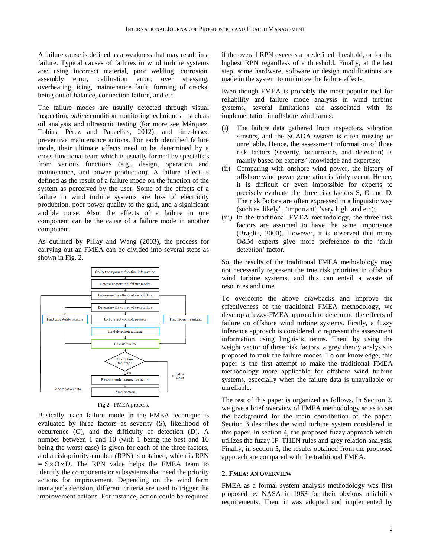A failure cause is defined as a weakness that may result in a failure. Typical causes of failures in wind turbine systems are: using incorrect material, poor welding, corrosion, assembly error, calibration error, over stressing, overheating, icing, maintenance fault, forming of cracks, being out of balance, connection failure, and etc.

The failure modes are usually detected through visual inspection, *online* condition monitoring techniques – such as oil analysis and ultrasonic testing (for more see [Márquez,](http://www.sciencedirect.com/science/article/pii/S0960148112001899) [Tobias,](http://www.sciencedirect.com/science/article/pii/S0960148112001899) [Pérez](http://www.sciencedirect.com/science/article/pii/S0960148112001899) and [Papaelias,](http://www.sciencedirect.com/science/article/pii/S0960148112001899) 2012), and time-based preventive maintenance actions. For each identified failure mode, their ultimate effects need to be determined by a cross-functional team which is usually formed by specialists from various functions (e.g., design, operation and maintenance, and power production). A failure effect is defined as the result of a failure mode on the function of the system as perceived by the user. Some of the effects of a failure in wind turbine systems are loss of electricity production, poor power quality to the grid, and a significant audible noise. Also, the effects of a failure in one component can be the cause of a failure mode in another component.

As outlined by Pillay and Wang (2003), the process for carrying out an FMEA can be divided into several steps as shown in Fig. 2.



Fig 2– FMEA process.

Basically, each failure mode in the FMEA technique is evaluated by three factors as severity (S), likelihood of occurrence (O), and the difficulty of detection (D). A number between 1 and 10 (with 1 being the best and 10 being the worst case) is given for each of the three factors, and a risk-priority-number (RPN) is obtained, which is RPN  $=$  S  $\times$  O  $\times$  D. The RPN value helps the FMEA team to identify the components or subsystems that need the priority actions for improvement. Depending on the wind farm manager's decision, different criteria are used to trigger the improvement actions. For instance, action could be required

if the overall RPN exceeds a predefined threshold, or for the highest RPN regardless of a threshold. Finally, at the last step, some hardware, software or design modifications are made in the system to minimize the failure effects.

Even though FMEA is probably the most popular tool for reliability and failure mode analysis in wind turbine systems, several limitations are associated with its implementation in offshore wind farms:

- The failure data gathered from inspectors, vibration sensors, and the SCADA system is often missing or unreliable. Hence, the assessment information of three risk factors (severity, occurrence, and detection) is mainly based on experts' knowledge and expertise;
- (ii) Comparing with onshore wind power, the history of offshore wind power generation is fairly recent. Hence, it is difficult or even impossible for experts to precisely evaluate the three risk factors S, O and D. The risk factors are often expressed in a linguistic way (such as 'likely' , 'important', 'very high' and etc);
- (iii) In the traditional FMEA methodology, the three risk factors are assumed to have the same importance (Braglia, 2000). However, it is observed that many O&M experts give more preference to the 'fault detection' factor.

So, the results of the traditional FMEA methodology may not necessarily represent the true risk priorities in offshore wind turbine systems, and this can entail a waste of resources and time.

To overcome the above drawbacks and improve the effectiveness of the traditional FMEA methodology, we develop a fuzzy-FMEA approach to determine the effects of failure on offshore wind turbine systems. Firstly, a fuzzy inference approach is considered to represent the assessment information using linguistic terms. Then, by using the weight vector of three risk factors, a grey theory analysis is proposed to rank the failure modes. To our knowledge, this paper is the first attempt to make the traditional FMEA methodology more applicable for offshore wind turbine systems, especially when the failure data is unavailable or unreliable.

The rest of this paper is organized as follows. In Section 2, we give a brief overview of FMEA methodology so as to set the background for the main contribution of the paper. Section 3 describes the wind turbine system considered in this paper. In section 4, the proposed fuzzy approach which utilizes the fuzzy IF–THEN rules and grey relation analysis. Finally, in section 5, the results obtained from the proposed approach are compared with the traditional FMEA.

#### **2. FMEA: AN OVERVIEW**

FMEA as a formal system analysis methodology was first proposed by NASA in 1963 for their obvious reliability requirements. Then, it was adopted and implemented by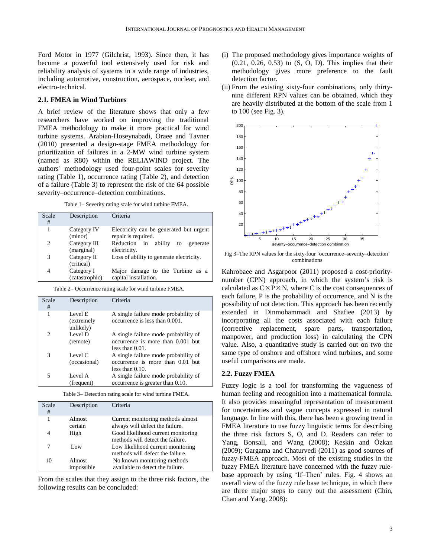Ford Motor in 1977 (Gilchrist, 1993). Since then, it has become a powerful tool extensively used for risk and reliability analysis of systems in a wide range of industries, including automotive, construction, aerospace, nuclear, and electro-technical.

#### **2.1. FMEA in Wind Turbines**

A brief review of the literature shows that only a few researchers have worked on improving the traditional FMEA methodology to make it more practical for wind turbine systems. Arabian-Hoseynabadi, Oraee and Tavner (2010) presented a design-stage FMEA methodology for prioritization of failures in a 2-MW wind turbine system (named as R80) within the RELIAWIND project. The authors' methodology used four-point scales for severity rating (Table 1), occurrence rating (Table 2), and detection of a failure (Table 3) to represent the risk of the 64 possible severity–occurrence–detection combinations.

Table 1– Severity rating scale for wind turbine FMEA.

| Scale<br># | Description                  | Criteria                                                       |
|------------|------------------------------|----------------------------------------------------------------|
| 1          | Category IV<br>(minor)       | Electricity can be generated but urgent<br>repair is required. |
| 2          | Category III<br>(marginal)   | Reduction in<br>ability<br>to<br>generate<br>electricity.      |
| 3          | Category II<br>(critical)    | Loss of ability to generate electricity.                       |
| 4          | Category I<br>(catastrophic) | Major damage to the Turbine as a<br>capital installation.      |

Table 2– Occurrence rating scale for wind turbine FMEA.

| Scale<br># | Description                        | Criteria                                                                                        |
|------------|------------------------------------|-------------------------------------------------------------------------------------------------|
| 1          | Level E<br>(extremely<br>unlikely) | A single failure mode probability of<br>occurrence is less than 0.001.                          |
| 2          | Level D<br>(remote)                | A single failure mode probability of<br>occurrence is more than 0.001 but<br>less than $0.01$ . |
| 3          | Level C<br>(occasional)            | A single failure mode probability of<br>occurrence is more than 0.01 but<br>less than $0.10$ .  |
| 5          | Level A<br>(frequent)              | A single failure mode probability of<br>occurrence is greater than 0.10.                        |

Table 3– Detection rating scale for wind turbine FMEA.

| Scale<br># | Description          | Criteria                                                               |
|------------|----------------------|------------------------------------------------------------------------|
| 1          | Almost<br>certain    | Current monitoring methods almost<br>always will defect the failure.   |
| 4          | High                 | Good likelihood current monitoring<br>methods will detect the failure. |
| 7          | Low                  | Low likelihood current monitoring<br>methods will defect the failure.  |
| 10         | Almost<br>impossible | No known monitoring methods<br>available to detect the failure.        |

From the scales that they assign to the three risk factors, the following results can be concluded:

- (i) The proposed methodology gives importance weights of (0.21, 0.26, 0.53) to (S, O, D). This implies that their methodology gives more preference to the fault detection factor.
- (ii) From the existing sixty-four combinations, only thirtynine different RPN values can be obtained, which they are heavily distributed at the bottom of the scale from 1 to 100 (see Fig. 3).



Fig 3–The RPN values for the sixty-four 'occurrence–severity–detection' combinations

Kahrobaee and Asgarpoor (2011) proposed a cost-prioritynumber (CPN) approach, in which the system's risk is calculated as  $C \times P \times N$ , where C is the cost consequences of each failure, P is the probability of occurrence, and N is the possibility of not detection. This approach has been recently extended in Dinmohammadi and Shafiee (2013) by incorporating all the costs associated with each failure (corrective replacement, spare parts, transportation, manpower, and production loss) in calculating the CPN value. Also, a quantitative study is carried out on two the same type of onshore and offshore wind turbines, and some useful comparisons are made.

#### **2.2. Fuzzy FMEA**

Fuzzy logic is a tool for transforming the vagueness of human feeling and recognition into a mathematical formula. It also provides meaningful representation of measurement for uncertainties and vague concepts expressed in natural language. In line with this, there has been a growing trend in FMEA literature to use fuzzy linguistic terms for describing the three risk factors S, O, and D. Readers can refer to Yang, Bonsall, and Wang (2008); Keskin and Özkan (2009); Gargama and Chaturvedi (2011) as good sources of fuzzy-FMEA approach. Most of the existing studies in the fuzzy FMEA literature have concerned with the fuzzy rulebase approach by using 'If–Then' rules. Fig. 4 shows an overall view of the fuzzy rule base technique, in which there are three major steps to carry out the assessment (Chin, Chan and Yang, 2008):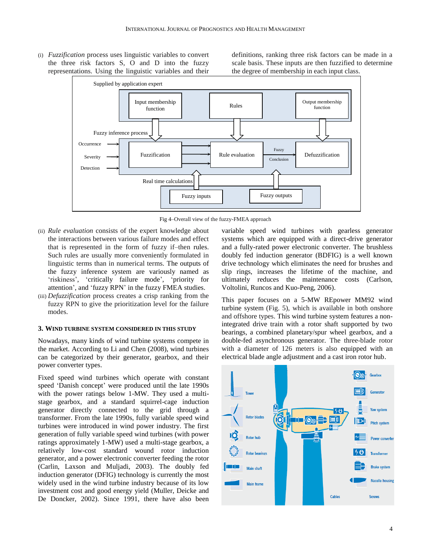(i) *Fuzzification* process uses linguistic variables to convert the three risk factors S, O and D into the fuzzy representations. Using the linguistic variables and their

definitions, ranking three risk factors can be made in a scale basis. These inputs are then fuzzified to determine the degree of membership in each input class.



Fig 4–Overall view of the fuzzy-FMEA approach

- (ii) *Rule evaluation* consists of the expert knowledge about the interactions between various failure modes and effect that is represented in the form of fuzzy if–then rules. Such rules are usually more conveniently formulated in linguistic terms than in numerical terms. The outputs of the fuzzy inference system are variously named as 'riskiness', 'critically failure mode', 'priority for attention', and 'fuzzy RPN' in the fuzzy FMEA studies.
- (iii) *Defuzzification* process creates a crisp ranking from the fuzzy RPN to give the prioritization level for the failure modes.

#### **3. WIND TURBINE SYSTEM CONSIDERED IN THIS STUDY**

Nowadays, many kinds of wind turbine systems compete in the market. According to Li and Chen (2008), wind turbines can be categorized by their generator, gearbox, and their power converter types.

Fixed speed wind turbines which operate with constant speed 'Danish concept' were produced until the late 1990s with the power ratings below 1-MW. They used a multistage gearbox, and a standard squirrel-cage induction generator directly connected to the grid through a transformer. From the late 1990s, fully variable speed wind turbines were introduced in wind power industry. The first generation of fully variable speed wind turbines (with power ratings approximately 1-MW) used a multi-stage gearbox, a relatively low-cost standard wound rotor induction generator, and a power electronic converter feeding the rotor (Carlin, Laxson and Muljadi, 2003). The doubly fed induction generator (DFIG) technology is currently the most widely used in the wind turbine industry because of its low investment cost and good energy yield (Muller, Deicke and De Doncker, 2002). Since 1991, there have also been

variable speed wind turbines with gearless generator systems which are equipped with a direct-drive generator and a fully-rated power electronic converter. The brushless doubly fed induction generator (BDFIG) is a well known drive technology which eliminates the need for brushes and slip rings, increases the lifetime of the machine, and ultimately reduces the maintenance costs (Carlson, Voltolini, Runcos and Kuo-Peng, 2006).

This paper focuses on a 5-MW REpower MM92 wind turbine system (Fig. 5), which is available in both onshore and offshore types. This wind turbine system features a nonintegrated drive train with a rotor shaft supported by two bearings, a combined planetary/spur wheel gearbox, and a double-fed asynchronous generator. The three-blade rotor with a diameter of 126 meters is also equipped with an electrical blade angle adjustment and a cast iron rotor hub.

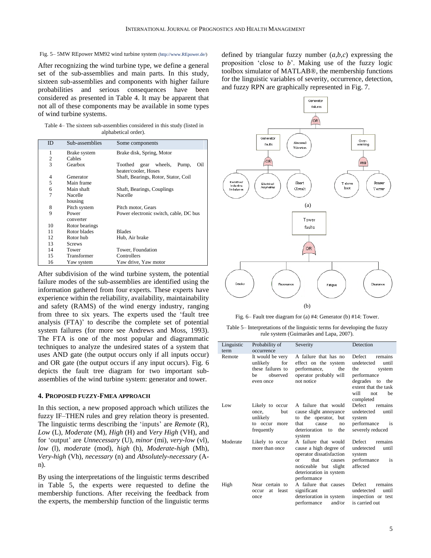#### Fig. 5– 5MW REpower MM92 wind turbine system (http://www.REpower.de/)

After recognizing the wind turbine type, we define a general set of the sub-assemblies and main parts. In this study, sixteen sub-assemblies and components with higher failure probabilities and serious consequences have been considered as presented in Table 4. It may be apparent that not all of these components may be available in some types of wind turbine systems.

Table 4– The sixteen sub-assemblies considered in this study (listed in alphabetical order).

| ID             | Sub-assemblies     | Some components                                                 |  |  |  |
|----------------|--------------------|-----------------------------------------------------------------|--|--|--|
| 1              | Brake system       | Brake disk, Spring, Motor                                       |  |  |  |
| $\overline{2}$ | Cables             |                                                                 |  |  |  |
| 3              | Gearbox            | gear wheels,<br>Oil<br>Toothed<br>Pump,<br>heater/cooler, Hoses |  |  |  |
| 4              | Generator          | Shaft, Bearings, Rotor, Stator, Coil                            |  |  |  |
| 5              | Main frame         |                                                                 |  |  |  |
| 6              | Main shaft         | Shaft, Bearings, Couplings                                      |  |  |  |
| $\overline{7}$ | Nacelle            | Nacelle                                                         |  |  |  |
|                | housing            |                                                                 |  |  |  |
| 8              | Pitch system       | Pitch motor, Gears                                              |  |  |  |
| 9              | Power<br>converter | Power electronic switch, cable, DC bus                          |  |  |  |
| 10             | Rotor bearings     |                                                                 |  |  |  |
| 11             | Rotor blades       | <b>Blades</b>                                                   |  |  |  |
| 12             | Rotor hub          | Hub, Air brake                                                  |  |  |  |
| 13             | <b>Screws</b>      |                                                                 |  |  |  |
| 14             | Tower              | Tower, Foundation                                               |  |  |  |
| 15             | Transformer        | Controllers                                                     |  |  |  |
| 16             | Yaw system         | Yaw drive, Yaw motor                                            |  |  |  |

After subdivision of the wind turbine system, the potential failure modes of the sub-assemblies are identified using the information gathered from four experts. These experts have experience within the reliability, availability, maintainability and safety (RAMS) of the wind energy industry, ranging from three to six years. The experts used the 'fault tree analysis (FTA)' to describe the complete set of potential system failures (for more see Andrews and Moss, 1993). The FTA is one of the most popular and diagrammatic techniques to analyze the undesired states of a system that uses AND gate (the output occurs only if all inputs occur) and OR gate (the output occurs if any input occurs). Fig. 6 depicts the fault tree diagram for two important subassemblies of the wind turbine system: generator and tower.

#### **4. PROPOSED FUZZY-FMEA APPROACH**

In this section, a new proposed approach which utilizes the fuzzy IF–THEN rules and grey relation theory is presented. The linguistic terms describing the 'inputs' are *Remote* (R), *Low* (L), *Moderate* (M), *High* (H) and *Very High* (VH), and for 'output' are *Unnecessary* (U), *minor* (mi), *very-low* (vl), *low* (l), *moderate* (mod), *high* (h), *Moderate-high* (Mh), *Very-high* (Vh), *necessary* (n) and *Absolutely-necessary* (An).

By using the interpretations of the linguistic terms described in Table 5, the experts were requested to define the membership functions. After receiving the feedback from the experts, the membership function of the linguistic terms defined by triangular fuzzy number  $(a,b,c)$  expressing the proposition 'close to *b*'. Making use of the fuzzy logic toolbox simulator of MATLAB®, the membership functions for the linguistic variables of severity, occurrence, detection, and fuzzy RPN are graphically represented in Fig. 7.



Fig. 6– Fault tree diagram for (a) #4: Generator (b) #14: Tower.

Table 5– Interpretations of the linguistic terms for developing the fuzzy rule system (Guimarães and Lapa, 2007).

| Linguistic<br>term | Probability of<br>occurrence                                                             | Severity                                                                                                                                                                    | Detection                                                                                                                                                |
|--------------------|------------------------------------------------------------------------------------------|-----------------------------------------------------------------------------------------------------------------------------------------------------------------------------|----------------------------------------------------------------------------------------------------------------------------------------------------------|
| Remote             | It would be very<br>for<br>unlikely<br>these failures to<br>observed<br>he.<br>even once | A failure that has no<br>effect on the system<br>performance,<br>the<br>operator probably will<br>not notice                                                                | Defect<br>remains<br>undetected<br>until<br>the<br>system<br>performance<br>degrades to<br>the<br>extent that the task<br>will<br>be<br>not<br>completed |
| Low                | Likely to occur<br>but<br>once.<br>unlikely<br>to occur<br>more<br>frequently            | A failure that would<br>cause slight annoyance<br>to the operator,<br>but<br>that<br>cause<br>no<br>deterioration<br>the<br>to<br>system                                    | Defect<br>remains<br>undetected<br>until<br>system<br>performance<br>1S<br>severely reduced                                                              |
| Moderate           | Likely to occur<br>more than once                                                        | A failure that would<br>cause a high degree of<br>operator dissatisfaction<br>that<br>$\alpha$<br>causes<br>noticeable but slight<br>deterioration in system<br>performance | Defect<br>remains<br>undetected<br>until<br>system<br>performance<br>1S<br>affected                                                                      |
| High               | Near certain to<br>least<br>at.<br>occur<br>once                                         | A failure that causes<br>significant<br>deterioration in system<br>performance<br>and/or                                                                                    | Defect<br>remains<br>undetected<br>until<br>inspection or test<br>is carried out                                                                         |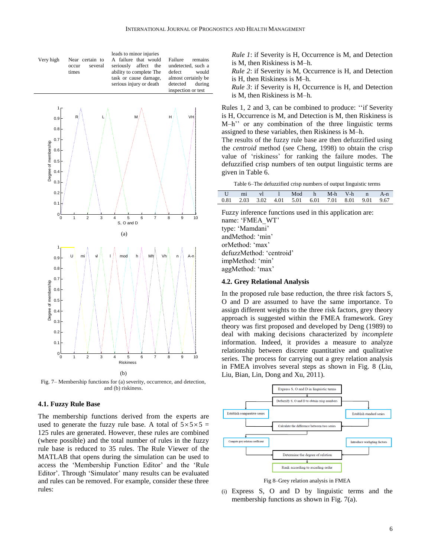Ī



Fig. 7– Membership functions for (a) severity, occurrence, and detection, and (b) riskiness.

#### **4.1. Fuzzy Rule Base**

The membership functions derived from the experts are used to generate the fuzzy rule base. A total of  $5 \times 5 \times 5 = 1$ 125 rules are generated. However, these rules are combined (where possible) and the total number of rules in the fuzzy rule base is reduced to 35 rules. The Rule Viewer of the MATLAB that opens during the simulation can be used to access the 'Membership Function Editor' and the 'Rule Editor'. Through 'Simulator' many results can be evaluated and rules can be removed. For example, consider these three rules:

*Rule 1*: if Severity is H, Occurrence is M, and Detection is M, then Riskiness is M–h.

*Rule 2*: if Severity is M, Occurrence is H, and Detection is H, then Riskiness is M–h.

*Rule 3*: if Severity is H, Occurrence is H, and Detection is M, then Riskiness is M–h.

Rules 1, 2 and 3, can be combined to produce: ''if Severity is H, Occurrence is M, and Detection is M, then Riskiness is M–h'' or any combination of the three linguistic terms assigned to these variables, then Riskiness is M–h.

The results of the fuzzy rule base are then defuzzified using the *centroid* method (see Cheng, 1998) to obtain the crisp value of 'riskiness' for ranking the failure modes. The defuzzified crisp numbers of ten output linguistic terms are given in Table 6.

Table 6–The defuzzified crisp numbers of output linguistic terms

|  |  | U mi vl 1 Mod h M-h V-h n A-n                     |  |  |  |
|--|--|---------------------------------------------------|--|--|--|
|  |  | 0.81 2.03 3.02 4.01 5.01 6.01 7.01 8.01 9.01 9.67 |  |  |  |

Fuzzy inference functions used in this application are: name: 'FMEA\_WT' type: 'Mamdani' andMethod: 'min' orMethod: 'max' defuzzMethod: 'centroid' impMethod: 'min' aggMethod: 'max'

#### **4.2. Grey Relational Analysis**

In the proposed rule base reduction, the three risk factors S, O and D are assumed to have the same importance. To assign different weights to the three risk factors, grey theory approach is suggested within the FMEA framework. Grey theory was first proposed and developed by Deng (1989) to deal with making decisions characterized by *incomplete* information. Indeed, it provides a measure to analyze relationship between discrete quantitative and qualitative series. The process for carrying out a grey relation analysis in FMEA involves several steps as shown in Fig. 8 (Liu, Liu, Bian, Lin, Dong and Xu, 2011).



Fig 8–Grey relation analysis in FMEA

(i) Express S, O and D by linguistic terms and the membership functions as shown in Fig. 7(a).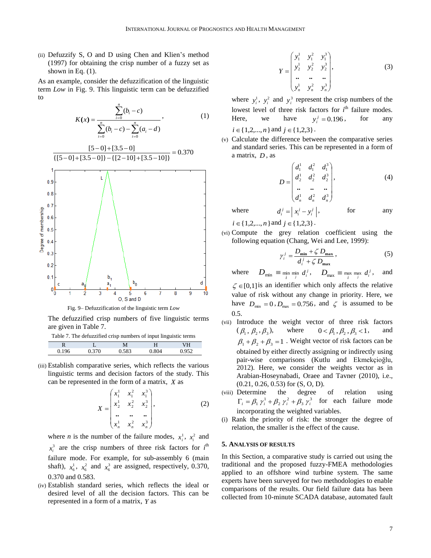(ii) Defuzzify S, O and D using Chen and Klien's method (1997) for obtaining the crisp number of a fuzzy set as shown in Eq.  $(1)$ .

As an example, consider the defuzzification of the linguistic term *Low* in Fig. 9. This linguistic term can be defuzzified to

*n*

$$
K(x) = \frac{\sum_{i=0}^{n} (b_i - c)}{\sum_{i=0}^{n} (b_i - c) - \sum_{i=0}^{n} (a_i - d)},
$$
 (1)



Fig. 9– Defuzzification of the linguistic term *Low*

The defuzzified crisp numbers of five linguistic terms are given in Table 7.

Table 7. The defuzzified crisp numbers of input linguistic terms

| D<br>v |         |       |      |                      |
|--------|---------|-------|------|----------------------|
|        | 70<br>ັ | 0.583 | .804 | $\sim$ $\sim$ $\sim$ |
|        |         |       |      |                      |

(iii) Establish comparative series, which reflects the various linguistic terms and decision factors of the study. This can be represented in the form of a matrix, *X* as

$$
X = \begin{pmatrix} x_1^1 & x_1^2 & x_1^3 \\ x_2^1 & x_2^2 & x_2^3 \\ \vdots & \vdots & \vdots \\ x_n^1 & x_n^2 & x_n^3 \end{pmatrix},
$$
 (2)

where *n* is the number of the failure modes,  $x_i^1$ ,  $x_i^2$  and  $x_i^3$  are the crisp numbers of three risk factors for  $i^{\text{th}}$ failure mode. For example, for sub-assembly 6 (main shaft),  $x_6^1$ ,  $x_6^2$  and  $x_6^3$  are assigned, respectively, 0.370, 0.370 and 0.583.

(iv) Establish standard series, which reflects the ideal or desired level of all the decision factors. This can be represented in a form of a matrix, *Y* as

$$
Y = \begin{pmatrix} y_1^1 & y_1^2 & y_1^3 \\ y_2^1 & y_2^2 & y_2^3 \\ \cdots & \cdots & \cdots \\ y_n^1 & y_n^2 & y_n^3 \end{pmatrix},
$$
 (3)

where  $y_i^1$ ,  $y_i^2$  and  $y_i^3$  represent the crisp numbers of the lowest level of three risk factors for  $i<sup>th</sup>$  failure modes. Here, we have  $y_i^j = 0.196$ for any  $i \in \{1,2,...,n\}$  and  $j \in \{1,2,3\}$ .

(v) Calculate the difference between the comparative series and standard series. This can be represented in a form of a matrix, *D* , as

$$
D = \begin{pmatrix} d_1^1 & d_1^2 & d_1^3 \\ d_2^1 & d_2^2 & d_2^3 \\ \vdots & \vdots & \vdots \\ d_n^1 & d_n^2 & d_n^3 \end{pmatrix},
$$
 (4)

where  $d_i^j = \left| x_i^j - y_i^j \right|$ , for any

 $i \in \{1,2,...,n\}$  and  $j \in \{1,2,3\}$ .

(vi) Compute the grey relation coefficient using the following equation (Chang, Wei and Lee, 1999):

$$
\gamma_i^j = \frac{D_{\min} + \zeta D_{\max}}{d_i^j + \zeta D_{\max}},\tag{5}
$$

where  $D_{\min} \equiv \min_{i} \min_{j} d_i^j$ ,  $D_{\max} \equiv \max_{i} \min_{j} d_i^j$ and

 $\zeta \in [0,1]$  is an identifier which only affects the relative value of risk without any change in priority. Here, we have  $D_{\min} = 0$ ,  $D_{\max} = 0.756$ , and  $\zeta$  is assumed to be 0.5.

- (vii) Introduce the weight vector of three risk factors  $(\beta_1, \beta_2, \beta_3)$ where  $0 < \beta_1, \beta_2, \beta_3 < 1$ , and  $\beta_1 + \beta_2 + \beta_3 = 1$ . Weight vector of risk factors can be obtained by either directly assigning or indirectly using pair-wise comparisons (Kutlu and [Ekmekçioğlu,](http://www.sciencedirect.com/science/article/pii/S0957417411009444) 2012). Here, we consider the weights vector as in Arabian-Hoseynabadi, Oraee and Tavner (2010), i.e., (0.21, 0.26, 0.53) for (S, O, D).
- (viii) Determine the degree of relation using  $\Gamma_i = \beta_1 \gamma_i^1 + \beta_2 \gamma_i^2 + \beta_3 \gamma_i^3$  for each failure mode incorporating the weighted variables.
- (i) Rank the priority of risk: the stronger the degree of relation, the smaller is the effect of the cause.

#### **5. ANALYSIS OF RESULTS**

In this Section, a comparative study is carried out using the traditional and the proposed fuzzy-FMEA methodologies applied to an offshore wind turbine system. The same experts have been surveyed for two methodologies to enable comparisons of the results. Our field failure data has been collected from 10-minute SCADA database, automated fault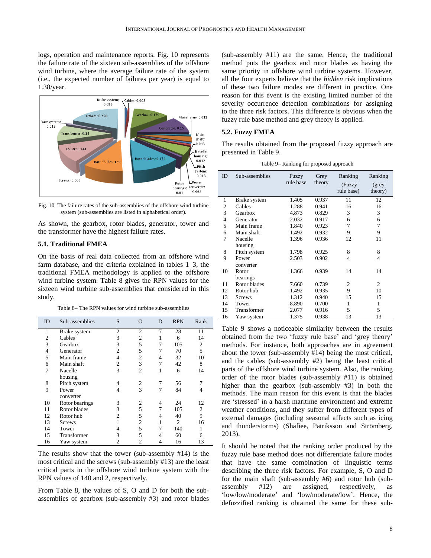logs, operation and maintenance reports. Fig. 10 represents the failure rate of the sixteen sub-assemblies of the offshore wind turbine, where the average failure rate of the system (i.e., the expected number of failures per year) is equal to 1.38/year.



Fig. 10–The failure rates of the sub-assemblies of the offshore wind turbine system (sub-assemblies are listed in alphabetical order).

As shown, the gearbox, rotor blades, generator, tower and the transformer have the highest failure rates.

#### **5.1. Traditional FMEA**

On the basis of real data collected from an offshore wind farm database, and the criteria explained in tables 1–3, the traditional FMEA methodology is applied to the offshore wind turbine system. Table 8 gives the RPN values for the sixteen wind turbine sub-assemblies that considered in this study.

Table 8– The RPN values for wind turbine sub-assemblies

| ID             | Sub-assemblies | S              | O              | D | <b>RPN</b>     | Rank           |
|----------------|----------------|----------------|----------------|---|----------------|----------------|
| 1              | Brake system   | $\overline{c}$ | $\overline{c}$ | 7 | 28             | 11             |
| 2              | Cables         | 3              | 2              | 1 | 6              | 14             |
| 3              | Gearbox        | 3              | 5              | 7 | 105            | $\mathfrak{2}$ |
| $\overline{4}$ | Generator      | $\overline{2}$ | 5              | 7 | 70             | 5              |
| 5              | Main frame     | $\overline{4}$ | $\overline{2}$ | 4 | 32             | 10             |
| 6              | Main shaft     | $\overline{2}$ | 3              | 7 | 42             | 8              |
| 7              | Nacelle        | 3              | $\overline{2}$ | 1 | 6              | 14             |
|                | housing        |                |                |   |                |                |
| 8              | Pitch system   | 4              | $\overline{c}$ | 7 | 56             |                |
| 9              | Power          | 4              | 3              | 7 | 84             | 4              |
|                | converter      |                |                |   |                |                |
| 10             | Rotor bearings | 3              | 2              | 4 | 24             | 12             |
| 11             | Rotor blades   | 3              | 5              | 7 | 105            | $\overline{2}$ |
| 12             | Rotor hub      | 2              | 5              | 4 | 40             | 9              |
| 13             | <b>Screws</b>  |                | 2              | 1 | $\overline{c}$ | 16             |
| 14             | Tower          | 4              | 5              |   | 140            | 1              |
| 15             | Transformer    | 3              | 5              | 4 | 60             | 6              |
| 16             | Yaw system     | $\overline{2}$ | $\overline{2}$ | 4 | 16             | 13             |

The results show that the tower (sub-assembly #14) is the most critical and the screws (sub-assembly #13) are the least critical parts in the offshore wind turbine system with the RPN values of 140 and 2, respectively.

From Table 8, the values of S, O and D for both the subassemblies of gearbox (sub-assembly #3) and rotor blades (sub-assembly #11) are the same. Hence, the traditional method puts the gearbox and rotor blades as having the same priority in offshore wind turbine systems. However, all the four experts believe that the *hidden* risk implications of these two failure modes are different in practice. One reason for this event is the existing limited number of the severity–occurrence–detection combinations for assigning to the three risk factors. This difference is obvious when the fuzzy rule base method and grey theory is applied.

#### **5.2. Fuzzy FMEA**

The results obtained from the proposed fuzzy approach are presented in Table 9.

Table 9– Ranking for proposed approach

| ID | Sub-assemblies | Fuzzy<br>rule base | Grey<br>theory | Ranking<br>(Fuzzy<br>rule base) | Ranking<br>(grey)<br>theory) |
|----|----------------|--------------------|----------------|---------------------------------|------------------------------|
| 1  | Brake system   | 1.405              | 0.937          | 11                              | 12                           |
| 2  | Cables         | 1.288              | 0.941          | 16                              | 16                           |
| 3  | Gearbox        | 4.873              | 0.829          | 3                               | 3                            |
| 4  | Generator      | 2.032              | 0.917          | 6                               | 6                            |
| 5  | Main frame     | 1.840              | 0.923          | 7                               | 7                            |
| 6  | Main shaft     | 1.492              | 0.932          | 9                               | 9                            |
| 7  | Nacelle        | 1.396              | 0.936          | 12                              | 11                           |
|    | housing        |                    |                |                                 |                              |
| 8  | Pitch system   | 1.798              | 0.925          | 8                               | 8                            |
| 9  | Power          | 2.503              | 0.902          | 4                               | 4                            |
|    | converter      |                    |                |                                 |                              |
| 10 | Rotor          | 1.366              | 0.939          | 14                              | 14                           |
|    | bearings       |                    |                |                                 |                              |
| 11 | Rotor blades   | 7.660              | 0.739          | 2                               | $\overline{c}$               |
| 12 | Rotor hub      | 1.492              | 0.935          | 9                               | 10                           |
| 13 | <b>Screws</b>  | 1.312              | 0.940          | 15                              | 15                           |
| 14 | Tower          | 8.890              | 0.700          | 1                               | 1                            |
| 15 | Transformer    | 2.077              | 0.916          | 5                               | 5                            |
| 16 | Yaw system     | 1.375              | 0.938          | 13                              | 13                           |

Table 9 shows a noticeable similarity between the results obtained from the two 'fuzzy rule base' and 'grey theory' methods. For instance, both approaches are in agreement about the tower (sub-assembly #14) being the most critical, and the cables (sub-assembly #2) being the least critical parts of the offshore wind turbine system. Also, the ranking order of the rotor blades (sub-assembly #11) is obtained higher than the gearbox (sub-assembly #3) in both the methods. The main reason for this event is that the blades are 'stressed' in a harsh maritime environment and extreme weather conditions, and they suffer from different types of external damages (including seasonal affects such as icing and thunderstorms) (Shafiee, Patriksson and Strömberg, 2013).

It should be noted that the ranking order produced by the fuzzy rule base method does not differentiate failure modes that have the same combination of linguistic terms describing the three risk factors. For example, S, O and D for the main shaft (sub-assembly #6) and rotor hub (subassembly #12) are assigned, respectively, as 'low/low/moderate' and 'low/moderate/low'. Hence, the defuzzified ranking is obtained the same for these sub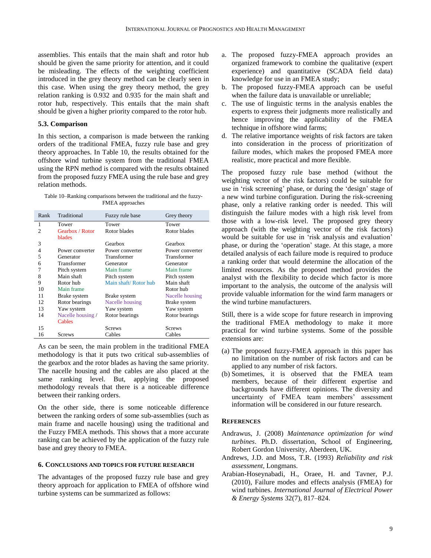assemblies. This entails that the main shaft and rotor hub should be given the same priority for attention, and it could be misleading. The effects of the weighting coefficient introduced in the grey theory method can be clearly seen in this case. When using the grey theory method, the grey relation ranking is 0.932 and 0.935 for the main shaft and rotor hub, respectively. This entails that the main shaft should be given a higher priority compared to the rotor hub.

#### **5.3. Comparison**

In this section, a comparison is made between the ranking orders of the traditional FMEA, fuzzy rule base and grey theory approaches. In Table 10, the results obtained for the offshore wind turbine system from the traditional FMEA using the RPN method is compared with the results obtained from the proposed fuzzy FMEA using the rule base and grey relation methods.

Table 10–Ranking comparisons between the traditional and the fuzzy-FMEA approaches

| Rank           | Traditional       | Fuzzy rule base      | Grey theory     |
|----------------|-------------------|----------------------|-----------------|
| 1              | Tower             | Tower                | Tower           |
| $\mathfrak{D}$ | Gearbox / Rotor   | Rotor blades         | Rotor blades    |
|                | blades            |                      |                 |
| 3              |                   | Gearbox              | Gearbox         |
| 4              | Power converter   | Power converter      | Power converter |
| 5              | Generator         | Transformer          | Transformer     |
| 6              | Transformer       | Generator            | Generator       |
| 7              | Pitch system      | Main frame           | Main frame      |
| 8              | Main shaft        | Pitch system         | Pitch system    |
| 9              | Rotor hub         | Main shaft/Rotor hub | Main shaft      |
| 10             | Main frame        |                      | Rotor hub       |
| 11             | Brake system      | Brake system         | Nacelle housing |
| 12             | Rotor bearings    | Nacelle housing      | Brake system    |
| 13             | Yaw system        | Yaw system           | Yaw system      |
| 14             | Nacelle housing / | Rotor bearings       | Rotor bearings  |
|                | Cables            |                      |                 |
| 15             |                   | <b>Screws</b>        | <b>Screws</b>   |
| 16             | Screws            | Cables               | Cables          |

As can be seen, the main problem in the traditional FMEA methodology is that it puts two critical sub-assemblies of the gearbox and the rotor blades as having the same priority. The nacelle housing and the cables are also placed at the same ranking level. But, applying the proposed methodology reveals that there is a noticeable difference between their ranking orders.

On the other side, there is some noticeable difference between the ranking orders of some sub-assemblies (such as main frame and nacelle housing) using the traditional and the Fuzzy FMEA methods. This shows that a more accurate ranking can be achieved by the application of the fuzzy rule base and grey theory to FMEA.

#### **6. CONCLUSIONS AND TOPICS FOR FUTURE RESEARCH**

The advantages of the proposed fuzzy rule base and grey theory approach for application to FMEA of offshore wind turbine systems can be summarized as follows:

- a. The proposed fuzzy-FMEA approach provides an organized framework to combine the qualitative (expert experience) and quantitative (SCADA field data) knowledge for use in an FMEA study;
- b. The proposed fuzzy-FMEA approach can be useful when the failure data is unavailable or unreliable;
- c. The use of linguistic terms in the analysis enables the experts to express their judgments more realistically and hence improving the applicability of the FMEA technique in offshore wind farms;
- d. The relative importance weights of risk factors are taken into consideration in the process of prioritization of failure modes, which makes the proposed FMEA more realistic, more practical and more flexible.

The proposed fuzzy rule base method (without the weighting vector of the risk factors) could be suitable for use in 'risk screening' phase, or during the 'design' stage of a new wind turbine configuration. During the risk-screening phase, only a relative ranking order is needed. This will distinguish the failure modes with a high risk level from those with a low-risk level. The proposed grey theory approach (with the weighting vector of the risk factors) would be suitable for use in 'risk analysis and evaluation' phase, or during the 'operation' stage. At this stage, a more detailed analysis of each failure mode is required to produce a ranking order that would determine the allocation of the limited resources. As the proposed method provides the analyst with the flexibility to decide which factor is more important to the analysis, the outcome of the analysis will provide valuable information for the wind farm managers or the wind turbine manufacturers.

Still, there is a wide scope for future research in improving the traditional FMEA methodology to make it more practical for wind turbine systems. Some of the possible extensions are:

- (a) The proposed fuzzy-FMEA approach in this paper has no limitation on the number of risk factors and can be applied to any number of risk factors.
- (b) Sometimes, it is observed that the FMEA team members, because of their different expertise and backgrounds have different opinions. The diversity and uncertainty of FMEA team members' assessment information will be considered in our future research.

#### **REFERENCES**

- Andrawus, J. (2008) *Maintenance optimization for wind turbines*. Ph.D. dissertation, School of Engineering, Robert Gordon University, Aberdeen, UK.
- Andrews, J.D. and Moss, T.R. (1993) *Reliability and risk assessment,* Longmans.
- Arabian-Hoseynabadi, H., Oraee, H. and Tavner, P.J. (2010), Failure modes and effects analysis (FMEA) for wind turbines. *International Journal of Electrical Power & Energy Systems* 32(7), 817–824.